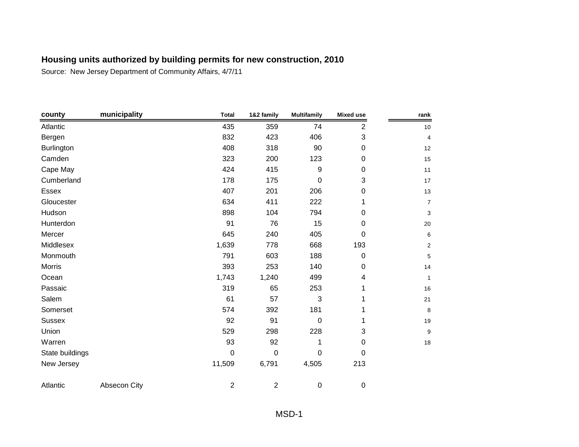| county          | municipality | <b>Total</b>   | 1&2 family     | <b>Multifamily</b> | <b>Mixed use</b> | rank           |
|-----------------|--------------|----------------|----------------|--------------------|------------------|----------------|
| Atlantic        |              | 435            | 359            | 74                 | 2                | 10             |
| Bergen          |              | 832            | 423            | 406                | 3                | 4              |
| Burlington      |              | 408            | 318            | 90                 | $\pmb{0}$        | 12             |
| Camden          |              | 323            | 200            | 123                | 0                | 15             |
| Cape May        |              | 424            | 415            | 9                  | 0                | 11             |
| Cumberland      |              | 178            | 175            | 0                  | 3                | 17             |
| <b>Essex</b>    |              | 407            | 201            | 206                | 0                | 13             |
| Gloucester      |              | 634            | 411            | 222                | 1                | $\overline{7}$ |
| Hudson          |              | 898            | 104            | 794                | 0                | 3              |
| Hunterdon       |              | 91             | 76             | 15                 | 0                | 20             |
| Mercer          |              | 645            | 240            | 405                | 0                | 6              |
| Middlesex       |              | 1,639          | 778            | 668                | 193              | $\overline{2}$ |
| Monmouth        |              | 791            | 603            | 188                | $\pmb{0}$        | 5              |
| Morris          |              | 393            | 253            | 140                | 0                | 14             |
| Ocean           |              | 1,743          | 1,240          | 499                | 4                | $\mathbf{1}$   |
| Passaic         |              | 319            | 65             | 253                | 1                | 16             |
| Salem           |              | 61             | 57             | 3                  | 1                | 21             |
| Somerset        |              | 574            | 392            | 181                | 1                | 8              |
| <b>Sussex</b>   |              | 92             | 91             | $\mathbf 0$        | 1                | 19             |
| Union           |              | 529            | 298            | 228                | 3                | 9              |
| Warren          |              | 93             | 92             | 1                  | 0                | 18             |
| State buildings |              | $\mathbf 0$    | $\mathbf 0$    | 0                  | 0                |                |
| New Jersey      |              | 11,509         | 6,791          | 4,505              | 213              |                |
| Atlantic        | Absecon City | $\overline{2}$ | $\overline{2}$ | $\boldsymbol{0}$   | 0                |                |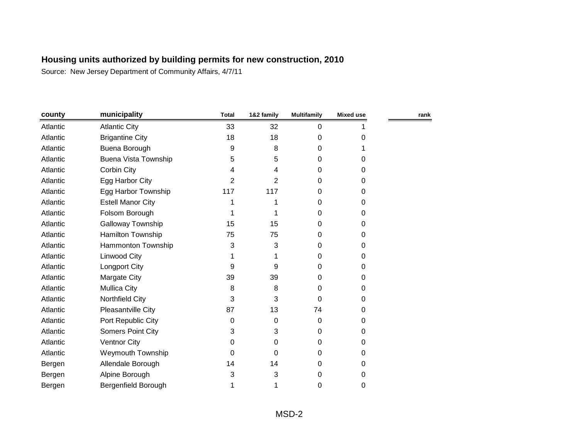| county   | municipality                | <b>Total</b> | 1&2 family     | <b>Multifamily</b> | <b>Mixed use</b> | rank |
|----------|-----------------------------|--------------|----------------|--------------------|------------------|------|
| Atlantic | <b>Atlantic City</b>        | 33           | 32             | 0                  |                  |      |
| Atlantic | <b>Brigantine City</b>      | 18           | 18             | 0                  | 0                |      |
| Atlantic | Buena Borough               | 9            | 8              | 0                  |                  |      |
| Atlantic | <b>Buena Vista Township</b> | 5            | 5              | 0                  | $\Omega$         |      |
| Atlantic | Corbin City                 | 4            | 4              | 0                  | 0                |      |
| Atlantic | Egg Harbor City             | 2            | $\overline{2}$ | 0                  | 0                |      |
| Atlantic | Egg Harbor Township         | 117          | 117            | 0                  | 0                |      |
| Atlantic | <b>Estell Manor City</b>    | 1            |                | 0                  | $\Omega$         |      |
| Atlantic | Folsom Borough              | 1            |                | 0                  | 0                |      |
| Atlantic | <b>Galloway Township</b>    | 15           | 15             | 0                  | 0                |      |
| Atlantic | Hamilton Township           | 75           | 75             | 0                  | 0                |      |
| Atlantic | Hammonton Township          | 3            | 3              | 0                  | 0                |      |
| Atlantic | Linwood City                | 1            |                | 0                  | 0                |      |
| Atlantic | Longport City               | 9            | 9              | 0                  | 0                |      |
| Atlantic | Margate City                | 39           | 39             | 0                  | 0                |      |
| Atlantic | <b>Mullica City</b>         | 8            | 8              | 0                  | $\Omega$         |      |
| Atlantic | Northfield City             | 3            | 3              | 0                  | 0                |      |
| Atlantic | Pleasantville City          | 87           | 13             | 74                 | 0                |      |
| Atlantic | Port Republic City          | 0            | 0              | 0                  | 0                |      |
| Atlantic | Somers Point City           | 3            | 3              | 0                  | 0                |      |
| Atlantic | <b>Ventnor City</b>         | 0            | 0              | 0                  | 0                |      |
| Atlantic | <b>Weymouth Township</b>    | 0            | 0              | 0                  | $\Omega$         |      |
| Bergen   | Allendale Borough           | 14           | 14             | 0                  | 0                |      |
| Bergen   | Alpine Borough              | 3            | 3              | 0                  | 0                |      |
| Bergen   | Bergenfield Borough         | 1            |                | 0                  | 0                |      |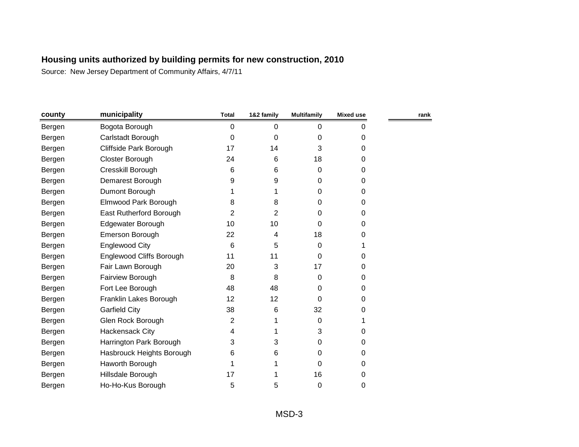| county | municipality                    | <b>Total</b> | 1&2 family | <b>Multifamily</b> | Mixed use | rank |
|--------|---------------------------------|--------------|------------|--------------------|-----------|------|
| Bergen | Bogota Borough                  | 0            | 0          | 0                  | 0         |      |
| Bergen | Carlstadt Borough               | $\Omega$     | 0          | 0                  | 0         |      |
| Bergen | Cliffside Park Borough          | 17           | 14         | 3                  | 0         |      |
| Bergen | Closter Borough                 | 24           | 6          | 18                 | 0         |      |
| Bergen | Cresskill Borough               | 6            | 6          | 0                  | 0         |      |
| Bergen | Demarest Borough                | 9            | 9          | 0                  | 0         |      |
| Bergen | Dumont Borough                  |              |            | 0                  | 0         |      |
| Bergen | Elmwood Park Borough            | 8            | 8          | 0                  | 0         |      |
| Bergen | East Rutherford Borough         | 2            | 2          | 0                  | 0         |      |
| Bergen | Edgewater Borough               | 10           | 10         | 0                  | 0         |      |
| Bergen | Emerson Borough                 | 22           | 4          | 18                 | 0         |      |
| Bergen | <b>Englewood City</b>           | 6            | 5          | 0                  |           |      |
| Bergen | <b>Englewood Cliffs Borough</b> | 11           | 11         | 0                  | 0         |      |
| Bergen | Fair Lawn Borough               | 20           | 3          | 17                 | 0         |      |
| Bergen | Fairview Borough                | 8            | 8          | 0                  | 0         |      |
| Bergen | Fort Lee Borough                | 48           | 48         | 0                  | 0         |      |
| Bergen | Franklin Lakes Borough          | 12           | 12         | 0                  | 0         |      |
| Bergen | <b>Garfield City</b>            | 38           | 6          | 32                 | 0         |      |
| Bergen | Glen Rock Borough               | 2            |            | 0                  |           |      |
| Bergen | Hackensack City                 | 4            |            | 3                  | 0         |      |
| Bergen | Harrington Park Borough         | 3            | 3          | 0                  | 0         |      |
| Bergen | Hasbrouck Heights Borough       | 6            | 6          | 0                  | 0         |      |
| Bergen | Haworth Borough                 |              |            | 0                  | 0         |      |
| Bergen | Hillsdale Borough               | 17           |            | 16                 | 0         |      |
| Bergen | Ho-Ho-Kus Borough               | 5            | 5          | 0                  | 0         |      |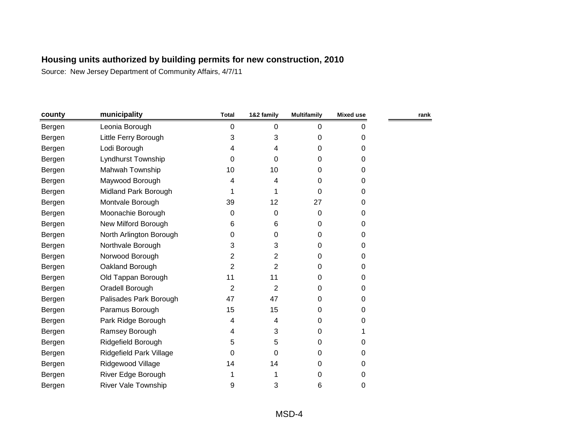| county | municipality               | <b>Total</b> | 1&2 family     | <b>Multifamily</b> | Mixed use | rank |
|--------|----------------------------|--------------|----------------|--------------------|-----------|------|
| Bergen | Leonia Borough             | 0            | 0              | 0                  | 0         |      |
| Bergen | Little Ferry Borough       | 3            | 3              | 0                  | 0         |      |
| Bergen | Lodi Borough               | 4            | 4              | $\Omega$           | 0         |      |
| Bergen | Lyndhurst Township         | 0            | 0              | $\Omega$           | 0         |      |
| Bergen | Mahwah Township            | 10           | 10             | $\Omega$           | 0         |      |
| Bergen | Maywood Borough            | 4            | 4              | 0                  | 0         |      |
| Bergen | Midland Park Borough       |              |                | 0                  | 0         |      |
| Bergen | Montvale Borough           | 39           | 12             | 27                 | 0         |      |
| Bergen | Moonachie Borough          | 0            | 0              | 0                  | 0         |      |
| Bergen | New Milford Borough        | 6            | 6              | 0                  | 0         |      |
| Bergen | North Arlington Borough    | 0            | 0              | 0                  | 0         |      |
| Bergen | Northvale Borough          | 3            | 3              | $\Omega$           | 0         |      |
| Bergen | Norwood Borough            | 2            | $\overline{2}$ | $\Omega$           | 0         |      |
| Bergen | Oakland Borough            | 2            | $\overline{2}$ | 0                  | 0         |      |
| Bergen | Old Tappan Borough         | 11           | 11             | 0                  | 0         |      |
| Bergen | Oradell Borough            | 2            | 2              | 0                  | 0         |      |
| Bergen | Palisades Park Borough     | 47           | 47             | 0                  | 0         |      |
| Bergen | Paramus Borough            | 15           | 15             | 0                  | 0         |      |
| Bergen | Park Ridge Borough         | 4            | 4              | 0                  | 0         |      |
| Bergen | Ramsey Borough             | 4            | 3              | $\Omega$           |           |      |
| Bergen | Ridgefield Borough         | 5            | 5              | 0                  | 0         |      |
| Bergen | Ridgefield Park Village    | 0            | 0              | 0                  | 0         |      |
| Bergen | Ridgewood Village          | 14           | 14             | 0                  | 0         |      |
| Bergen | River Edge Borough         |              |                | 0                  | 0         |      |
| Bergen | <b>River Vale Township</b> | 9            | 3              | 6                  | 0         |      |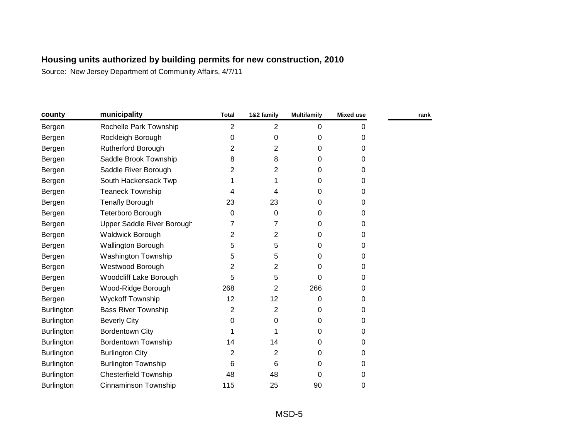| county            | municipality                  | <b>Total</b>   | 1&2 family     | <b>Multifamily</b> | <b>Mixed use</b> | rank |
|-------------------|-------------------------------|----------------|----------------|--------------------|------------------|------|
| Bergen            | Rochelle Park Township        | $\overline{2}$ | $\overline{2}$ | 0                  | 0                |      |
| Bergen            | Rockleigh Borough             | 0              | 0              | 0                  | 0                |      |
| Bergen            | <b>Rutherford Borough</b>     | 2              | $\overline{2}$ | $\Omega$           | 0                |      |
| Bergen            | Saddle Brook Township         | 8              | 8              | $\Omega$           | 0                |      |
| Bergen            | Saddle River Borough          | 2              | 2              | 0                  | 0                |      |
| Bergen            | South Hackensack Twp          |                |                | 0                  | 0                |      |
| Bergen            | <b>Teaneck Township</b>       | 4              | 4              | 0                  | 0                |      |
| Bergen            | <b>Tenafly Borough</b>        | 23             | 23             | $\Omega$           | 0                |      |
| Bergen            | Teterboro Borough             | 0              | 0              | 0                  | 0                |      |
| Bergen            | Upper Saddle River Borough    | 7              | 7              | 0                  | 0                |      |
| Bergen            | Waldwick Borough              | 2              | $\overline{2}$ | 0                  | 0                |      |
| Bergen            | Wallington Borough            | 5              | 5              | 0                  | 0                |      |
| Bergen            | <b>Washington Township</b>    | 5              | 5              | 0                  | 0                |      |
| Bergen            | Westwood Borough              | 2              | 2              | 0                  | 0                |      |
| Bergen            | <b>Woodcliff Lake Borough</b> | 5              | 5              | 0                  | 0                |      |
| Bergen            | Wood-Ridge Borough            | 268            | 2              | 266                | 0                |      |
| Bergen            | <b>Wyckoff Township</b>       | 12             | 12             | 0                  | 0                |      |
| <b>Burlington</b> | <b>Bass River Township</b>    | 2              | 2              | 0                  | 0                |      |
| <b>Burlington</b> | <b>Beverly City</b>           | 0              | 0              | 0                  | 0                |      |
| <b>Burlington</b> | <b>Bordentown City</b>        | 1              |                | $\Omega$           | 0                |      |
| Burlington        | <b>Bordentown Township</b>    | 14             | 14             | 0                  | 0                |      |
| Burlington        | <b>Burlington City</b>        | 2              | 2              | $\Omega$           | 0                |      |
| <b>Burlington</b> | <b>Burlington Township</b>    | 6              | 6              | 0                  | 0                |      |
| Burlington        | <b>Chesterfield Township</b>  | 48             | 48             | 0                  | 0                |      |
| <b>Burlington</b> | Cinnaminson Township          | 115            | 25             | 90                 | 0                |      |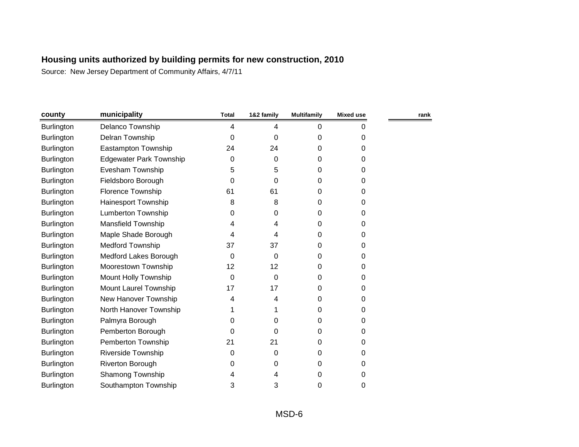| county            | municipality                   | <b>Total</b> | 1&2 family | <b>Multifamily</b> | Mixed use | rank |
|-------------------|--------------------------------|--------------|------------|--------------------|-----------|------|
| <b>Burlington</b> | Delanco Township               | 4            | 4          | 0                  | 0         |      |
| <b>Burlington</b> | Delran Township                | 0            | 0          | 0                  | 0         |      |
| Burlington        | Eastampton Township            | 24           | 24         | 0                  | 0         |      |
| <b>Burlington</b> | <b>Edgewater Park Township</b> | 0            | 0          | 0                  | 0         |      |
| Burlington        | Evesham Township               | 5            | 5          | 0                  | 0         |      |
| Burlington        | Fieldsboro Borough             | 0            | 0          | 0                  | 0         |      |
| <b>Burlington</b> | Florence Township              | 61           | 61         | 0                  | 0         |      |
| Burlington        | Hainesport Township            | 8            | 8          | 0                  | 0         |      |
| <b>Burlington</b> | Lumberton Township             | 0            | 0          | 0                  | 0         |      |
| <b>Burlington</b> | <b>Mansfield Township</b>      | 4            | 4          | 0                  | 0         |      |
| Burlington        | Maple Shade Borough            | 4            | 4          | 0                  | 0         |      |
| Burlington        | Medford Township               | 37           | 37         | 0                  | 0         |      |
| <b>Burlington</b> | Medford Lakes Borough          | 0            | 0          | 0                  | 0         |      |
| Burlington        | Moorestown Township            | 12           | 12         | 0                  | 0         |      |
| Burlington        | Mount Holly Township           | 0            | 0          | 0                  | 0         |      |
| Burlington        | Mount Laurel Township          | 17           | 17         | 0                  | 0         |      |
| Burlington        | New Hanover Township           | 4            | 4          | 0                  | 0         |      |
| <b>Burlington</b> | North Hanover Township         |              |            | 0                  | 0         |      |
| Burlington        | Palmyra Borough                | 0            | 0          | 0                  | 0         |      |
| Burlington        | Pemberton Borough              | 0            | 0          | 0                  | 0         |      |
| <b>Burlington</b> | Pemberton Township             | 21           | 21         | 0                  | 0         |      |
| Burlington        | <b>Riverside Township</b>      | 0            | 0          | 0                  | 0         |      |
| <b>Burlington</b> | <b>Riverton Borough</b>        | 0            | 0          | 0                  | 0         |      |
| Burlington        | Shamong Township               | 4            | 4          | 0                  | 0         |      |
| Burlington        | Southampton Township           | 3            | 3          | 0                  | 0         |      |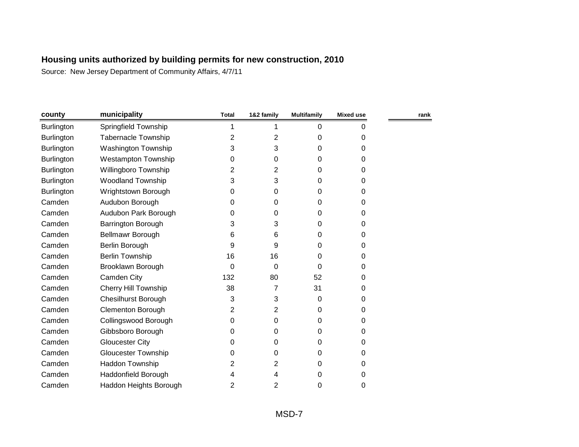| county            | municipality               | <b>Total</b> | 1&2 family     | <b>Multifamily</b> | <b>Mixed use</b> | rank |
|-------------------|----------------------------|--------------|----------------|--------------------|------------------|------|
| <b>Burlington</b> | Springfield Township       | 1            |                | 0                  | 0                |      |
| <b>Burlington</b> | <b>Tabernacle Township</b> | 2            | 2              | 0                  | 0                |      |
| <b>Burlington</b> | <b>Washington Township</b> | 3            | 3              | 0                  | 0                |      |
| Burlington        | <b>Westampton Township</b> | 0            | 0              | 0                  | $\Omega$         |      |
| <b>Burlington</b> | Willingboro Township       | 2            | $\overline{2}$ | 0                  | 0                |      |
| <b>Burlington</b> | <b>Woodland Township</b>   | 3            | 3              | 0                  | 0                |      |
| Burlington        | Wrightstown Borough        | 0            | 0              | 0                  | 0                |      |
| Camden            | Audubon Borough            | 0            | 0              | 0                  | 0                |      |
| Camden            | Audubon Park Borough       | 0            | 0              | 0                  | 0                |      |
| Camden            | <b>Barrington Borough</b>  | 3            | 3              | 0                  | 0                |      |
| Camden            | Bellmawr Borough           | 6            | 6              | 0                  | $\Omega$         |      |
| Camden            | Berlin Borough             | 9            | 9              | 0                  | 0                |      |
| Camden            | <b>Berlin Township</b>     | 16           | 16             | 0                  | 0                |      |
| Camden            | Brooklawn Borough          | 0            | $\Omega$       | 0                  | 0                |      |
| Camden            | Camden City                | 132          | 80             | 52                 | 0                |      |
| Camden            | Cherry Hill Township       | 38           | 7              | 31                 | 0                |      |
| Camden            | <b>Chesilhurst Borough</b> | 3            | 3              | 0                  | 0                |      |
| Camden            | Clementon Borough          | 2            | 2              | 0                  | $\Omega$         |      |
| Camden            | Collingswood Borough       | 0            | 0              | 0                  | 0                |      |
| Camden            | Gibbsboro Borough          | 0            | $\Omega$       | 0                  | 0                |      |
| Camden            | <b>Gloucester City</b>     | 0            | 0              | 0                  | 0                |      |
| Camden            | <b>Gloucester Township</b> | 0            | 0              | 0                  | 0                |      |
| Camden            | Haddon Township            | 2            | 2              | 0                  | 0                |      |
| Camden            | Haddonfield Borough        | 4            | 4              | 0                  | 0                |      |
| Camden            | Haddon Heights Borough     | 2            | 2              | 0                  | 0                |      |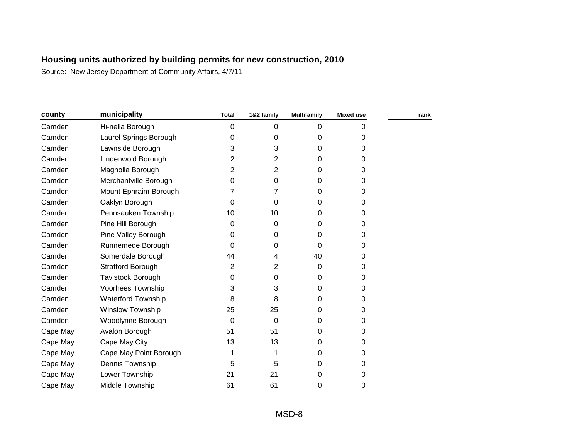| county   | municipality              | <b>Total</b> | 1&2 family     | <b>Multifamily</b> | <b>Mixed use</b> | rank |
|----------|---------------------------|--------------|----------------|--------------------|------------------|------|
| Camden   | Hi-nella Borough          | 0            | 0              | $\mathbf 0$        | 0                |      |
| Camden   | Laurel Springs Borough    | 0            | 0              | 0                  | 0                |      |
| Camden   | Lawnside Borough          | 3            | 3              | $\Omega$           | 0                |      |
| Camden   | Lindenwold Borough        | 2            | $\overline{2}$ | 0                  | 0                |      |
| Camden   | Magnolia Borough          | 2            | 2              | $\Omega$           | 0                |      |
| Camden   | Merchantville Borough     | 0            | 0              | 0                  | 0                |      |
| Camden   | Mount Ephraim Borough     | 7            | 7              | 0                  | 0                |      |
| Camden   | Oaklyn Borough            | 0            | 0              | 0                  | 0                |      |
| Camden   | Pennsauken Township       | 10           | 10             | $\Omega$           | 0                |      |
| Camden   | Pine Hill Borough         | 0            | 0              | 0                  | 0                |      |
| Camden   | Pine Valley Borough       | 0            | 0              | $\Omega$           | 0                |      |
| Camden   | Runnemede Borough         | 0            | 0              | 0                  | 0                |      |
| Camden   | Somerdale Borough         | 44           | 4              | 40                 | 0                |      |
| Camden   | <b>Stratford Borough</b>  | 2            | $\overline{2}$ | 0                  | 0                |      |
| Camden   | <b>Tavistock Borough</b>  | 0            | 0              | $\Omega$           | 0                |      |
| Camden   | Voorhees Township         | 3            | 3              | 0                  | 0                |      |
| Camden   | <b>Waterford Township</b> | 8            | 8              | 0                  | 0                |      |
| Camden   | Winslow Township          | 25           | 25             | $\Omega$           | 0                |      |
| Camden   | Woodlynne Borough         | $\mathbf 0$  | 0              | 0                  | 0                |      |
| Cape May | Avalon Borough            | 51           | 51             | $\Omega$           | 0                |      |
| Cape May | Cape May City             | 13           | 13             | 0                  | 0                |      |
| Cape May | Cape May Point Borough    | 1            |                | $\Omega$           | 0                |      |
| Cape May | Dennis Township           | 5            | 5              | 0                  | 0                |      |
| Cape May | Lower Township            | 21           | 21             | 0                  | 0                |      |
| Cape May | Middle Township           | 61           | 61             | $\Omega$           | 0                |      |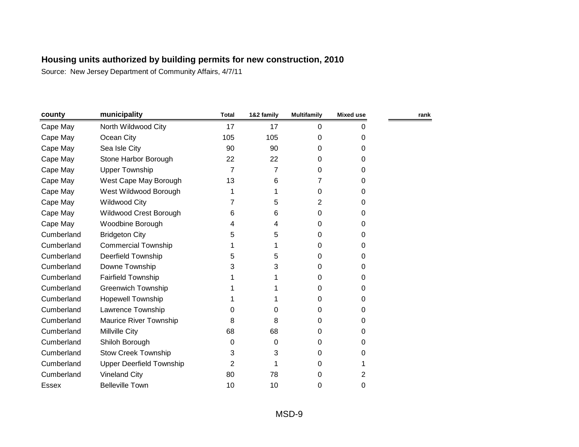| county     | municipality                    | <b>Total</b> | 1&2 family | <b>Multifamily</b> | <b>Mixed use</b> | rank |
|------------|---------------------------------|--------------|------------|--------------------|------------------|------|
| Cape May   | North Wildwood City             | 17           | 17         | 0                  | 0                |      |
| Cape May   | Ocean City                      | 105          | 105        | 0                  | 0                |      |
| Cape May   | Sea Isle City                   | 90           | 90         | 0                  | 0                |      |
| Cape May   | Stone Harbor Borough            | 22           | 22         | 0                  | $\Omega$         |      |
| Cape May   | <b>Upper Township</b>           | 7            | 7          | 0                  | 0                |      |
| Cape May   | West Cape May Borough           | 13           | 6          | 7                  | 0                |      |
| Cape May   | West Wildwood Borough           |              | 1          | 0                  | 0                |      |
| Cape May   | <b>Wildwood City</b>            | 7            | 5          | 2                  | 0                |      |
| Cape May   | Wildwood Crest Borough          | 6            | 6          | 0                  | 0                |      |
| Cape May   | Woodbine Borough                | 4            | 4          | 0                  | 0                |      |
| Cumberland | <b>Bridgeton City</b>           | 5            | 5          | 0                  | 0                |      |
| Cumberland | <b>Commercial Township</b>      |              | 1          | 0                  | 0                |      |
| Cumberland | <b>Deerfield Township</b>       | 5            | 5          | 0                  | 0                |      |
| Cumberland | Downe Township                  | 3            | 3          | 0                  | 0                |      |
| Cumberland | <b>Fairfield Township</b>       |              |            | 0                  | 0                |      |
| Cumberland | <b>Greenwich Township</b>       |              |            | 0                  | 0                |      |
| Cumberland | <b>Hopewell Township</b>        |              |            | 0                  | 0                |      |
| Cumberland | Lawrence Township               | 0            | 0          | 0                  | 0                |      |
| Cumberland | <b>Maurice River Township</b>   | 8            | 8          | 0                  | 0                |      |
| Cumberland | <b>Millville City</b>           | 68           | 68         | 0                  | 0                |      |
| Cumberland | Shiloh Borough                  | 0            | 0          | 0                  | 0                |      |
| Cumberland | <b>Stow Creek Township</b>      | 3            | 3          | 0                  | 0                |      |
| Cumberland | <b>Upper Deerfield Township</b> | 2            |            | 0                  |                  |      |
| Cumberland | <b>Vineland City</b>            | 80           | 78         | 0                  | 2                |      |
| Essex      | <b>Belleville Town</b>          | 10           | 10         | 0                  | 0                |      |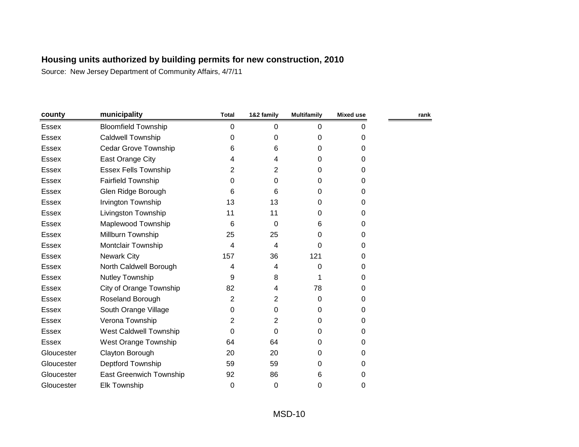| county       | municipality                   | <b>Total</b> | 1&2 family | <b>Multifamily</b> | <b>Mixed use</b> | rank |
|--------------|--------------------------------|--------------|------------|--------------------|------------------|------|
| Essex        | <b>Bloomfield Township</b>     | 0            | 0          | 0                  | 0                |      |
| Essex        | <b>Caldwell Township</b>       | 0            | 0          | 0                  | 0                |      |
| Essex        | Cedar Grove Township           | 6            | 6          | 0                  | $\Omega$         |      |
| <b>Essex</b> | East Orange City               | 4            | 4          | 0                  | $\Omega$         |      |
| Essex        | <b>Essex Fells Township</b>    | 2            | 2          | 0                  | $\Omega$         |      |
| <b>Essex</b> | <b>Fairfield Township</b>      | 0            | $\Omega$   | 0                  | $\Omega$         |      |
| Essex        | Glen Ridge Borough             | 6            | 6          | 0                  | 0                |      |
| Essex        | Irvington Township             | 13           | 13         | 0                  | $\Omega$         |      |
| <b>Essex</b> | Livingston Township            | 11           | 11         | 0                  | 0                |      |
| <b>Essex</b> | Maplewood Township             | 6            | 0          | 6                  | 0                |      |
| <b>Essex</b> | Millburn Township              | 25           | 25         | 0                  | 0                |      |
| <b>Essex</b> | Montclair Township             | 4            | 4          | 0                  | $\Omega$         |      |
| Essex        | <b>Newark City</b>             | 157          | 36         | 121                | $\Omega$         |      |
| <b>Essex</b> | North Caldwell Borough         | 4            | 4          | 0                  | 0                |      |
| <b>Essex</b> | <b>Nutley Township</b>         | 9            | 8          |                    | 0                |      |
| Essex        | City of Orange Township        | 82           | 4          | 78                 | 0                |      |
| Essex        | Roseland Borough               | 2            | 2          | 0                  | $\Omega$         |      |
| Essex        | South Orange Village           | 0            | $\Omega$   | 0                  | 0                |      |
| <b>Essex</b> | Verona Township                | 2            | 2          | 0                  | $\Omega$         |      |
| Essex        | West Caldwell Township         | 0            | $\Omega$   | 0                  | $\Omega$         |      |
| <b>Essex</b> | West Orange Township           | 64           | 64         | 0                  | 0                |      |
| Gloucester   | Clayton Borough                | 20           | 20         | 0                  | $\Omega$         |      |
| Gloucester   | Deptford Township              | 59           | 59         | 0                  | $\Omega$         |      |
| Gloucester   | <b>East Greenwich Township</b> | 92           | 86         | 6                  | 0                |      |
| Gloucester   | <b>Elk Township</b>            | 0            | 0          | 0                  | 0                |      |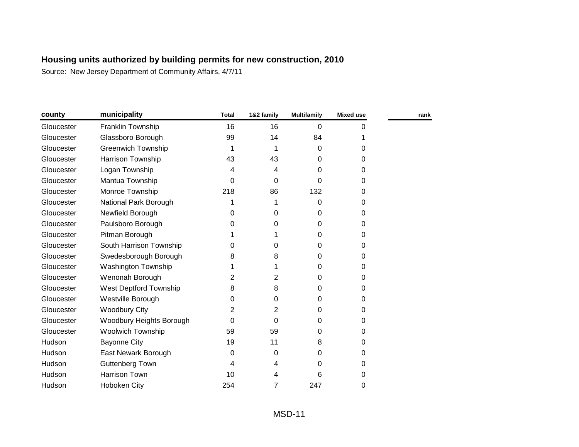| county     | municipality               | <b>Total</b> | 1&2 family     | <b>Multifamily</b> | <b>Mixed use</b> | rank |
|------------|----------------------------|--------------|----------------|--------------------|------------------|------|
| Gloucester | Franklin Township          | 16           | 16             | 0                  | 0                |      |
| Gloucester | Glassboro Borough          | 99           | 14             | 84                 |                  |      |
| Gloucester | <b>Greenwich Township</b>  | 1            |                | $\Omega$           | 0                |      |
| Gloucester | Harrison Township          | 43           | 43             | 0                  | 0                |      |
| Gloucester | Logan Township             | 4            | 4              | 0                  | 0                |      |
| Gloucester | Mantua Township            | 0            | 0              | 0                  | 0                |      |
| Gloucester | Monroe Township            | 218          | 86             | 132                | 0                |      |
| Gloucester | National Park Borough      |              |                | 0                  | 0                |      |
| Gloucester | Newfield Borough           | 0            | 0              | 0                  | 0                |      |
| Gloucester | Paulsboro Borough          | 0            | 0              | 0                  | 0                |      |
| Gloucester | Pitman Borough             |              |                | 0                  | 0                |      |
| Gloucester | South Harrison Township    | 0            | 0              | 0                  | 0                |      |
| Gloucester | Swedesborough Borough      | 8            | 8              | 0                  | 0                |      |
| Gloucester | <b>Washington Township</b> |              |                | 0                  | 0                |      |
| Gloucester | Wenonah Borough            | 2            | $\overline{2}$ | 0                  | 0                |      |
| Gloucester | West Deptford Township     | 8            | 8              | 0                  | 0                |      |
| Gloucester | Westville Borough          | 0            | 0              | 0                  | 0                |      |
| Gloucester | <b>Woodbury City</b>       | 2            | 2              | 0                  | 0                |      |
| Gloucester | Woodbury Heights Borough   | 0            | 0              | 0                  | 0                |      |
| Gloucester | <b>Woolwich Township</b>   | 59           | 59             | 0                  | 0                |      |
| Hudson     | <b>Bayonne City</b>        | 19           | 11             | 8                  | 0                |      |
| Hudson     | East Newark Borough        | 0            | 0              | 0                  | 0                |      |
| Hudson     | <b>Guttenberg Town</b>     | 4            | 4              | 0                  | 0                |      |
| Hudson     | <b>Harrison Town</b>       | 10           | 4              | 6                  | 0                |      |
| Hudson     | <b>Hoboken City</b>        | 254          | 7              | 247                | 0                |      |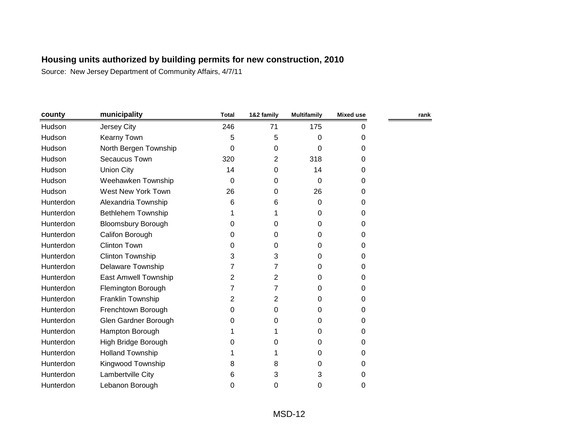| county    | municipality              | <b>Total</b> | 1&2 family | <b>Multifamily</b> | <b>Mixed use</b> | rank |
|-----------|---------------------------|--------------|------------|--------------------|------------------|------|
| Hudson    | Jersey City               | 246          | 71         | 175                | $\Omega$         |      |
| Hudson    | <b>Kearny Town</b>        | 5            | 5          | 0                  | 0                |      |
| Hudson    | North Bergen Township     | $\Omega$     | 0          | 0                  | $\Omega$         |      |
| Hudson    | Secaucus Town             | 320          | 2          | 318                | 0                |      |
| Hudson    | <b>Union City</b>         | 14           | 0          | 14                 | 0                |      |
| Hudson    | Weehawken Township        | 0            | 0          | 0                  | 0                |      |
| Hudson    | West New York Town        | 26           | 0          | 26                 | 0                |      |
| Hunterdon | Alexandria Township       | 6            | 6          | 0                  | 0                |      |
| Hunterdon | Bethlehem Township        |              | 1          | 0                  | 0                |      |
| Hunterdon | <b>Bloomsbury Borough</b> | 0            | 0          | 0                  | 0                |      |
| Hunterdon | Califon Borough           | 0            | 0          | 0                  | 0                |      |
| Hunterdon | <b>Clinton Town</b>       | 0            | 0          | 0                  | 0                |      |
| Hunterdon | <b>Clinton Township</b>   | 3            | 3          | 0                  | 0                |      |
| Hunterdon | <b>Delaware Township</b>  | 7            | 7          | 0                  | 0                |      |
| Hunterdon | East Amwell Township      | 2            | 2          | 0                  | $\Omega$         |      |
| Hunterdon | Flemington Borough        |              | 7          | 0                  | 0                |      |
| Hunterdon | Franklin Township         | 2            | 2          | 0                  | 0                |      |
| Hunterdon | Frenchtown Borough        | 0            | 0          | 0                  | 0                |      |
| Hunterdon | Glen Gardner Borough      | 0            | 0          | 0                  | 0                |      |
| Hunterdon | Hampton Borough           |              |            | 0                  | 0                |      |
| Hunterdon | High Bridge Borough       | 0            | 0          | 0                  | 0                |      |
| Hunterdon | <b>Holland Township</b>   |              | 1          | 0                  | 0                |      |
| Hunterdon | Kingwood Township         | 8            | 8          | 0                  | 0                |      |
| Hunterdon | Lambertville City         | 6            | 3          | 3                  | 0                |      |
| Hunterdon | Lebanon Borough           | 0            | 0          | 0                  | 0                |      |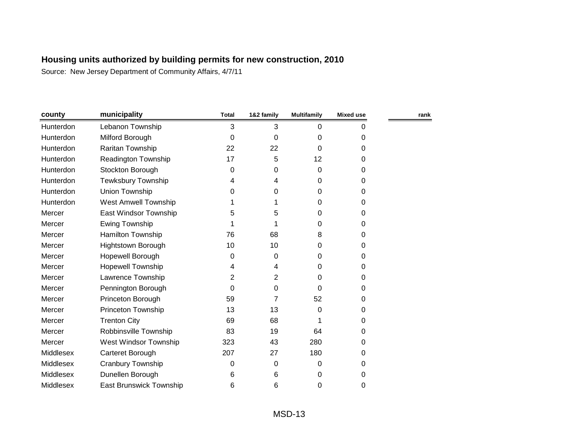| county    | municipality                   | <b>Total</b> | 1&2 family | <b>Multifamily</b> | <b>Mixed use</b> | rank |
|-----------|--------------------------------|--------------|------------|--------------------|------------------|------|
| Hunterdon | Lebanon Township               | 3            | 3          | 0                  | 0                |      |
| Hunterdon | Milford Borough                | $\Omega$     | 0          | 0                  | 0                |      |
| Hunterdon | Raritan Township               | 22           | 22         | 0                  | 0                |      |
| Hunterdon | <b>Readington Township</b>     | 17           | 5          | 12                 | 0                |      |
| Hunterdon | Stockton Borough               | 0            | 0          | 0                  | 0                |      |
| Hunterdon | Tewksbury Township             | 4            | 4          | 0                  | 0                |      |
| Hunterdon | Union Township                 | 0            | 0          | 0                  | 0                |      |
| Hunterdon | <b>West Amwell Township</b>    |              |            | 0                  | 0                |      |
| Mercer    | East Windsor Township          | 5            | 5          | 0                  | 0                |      |
| Mercer    | <b>Ewing Township</b>          |              |            | 0                  | 0                |      |
| Mercer    | Hamilton Township              | 76           | 68         | 8                  | 0                |      |
| Mercer    | Hightstown Borough             | 10           | 10         | 0                  | 0                |      |
| Mercer    | Hopewell Borough               | 0            | 0          | 0                  | 0                |      |
| Mercer    | Hopewell Township              | 4            | 4          | 0                  | 0                |      |
| Mercer    | Lawrence Township              | 2            | 2          | 0                  | 0                |      |
| Mercer    | Pennington Borough             | 0            | 0          | 0                  | 0                |      |
| Mercer    | Princeton Borough              | 59           | 7          | 52                 | 0                |      |
| Mercer    | <b>Princeton Township</b>      | 13           | 13         | 0                  | 0                |      |
| Mercer    | <b>Trenton City</b>            | 69           | 68         | 1                  | 0                |      |
| Mercer    | Robbinsville Township          | 83           | 19         | 64                 | 0                |      |
| Mercer    | West Windsor Township          | 323          | 43         | 280                | 0                |      |
| Middlesex | Carteret Borough               | 207          | 27         | 180                | 0                |      |
| Middlesex | Cranbury Township              | 0            | 0          | 0                  | 0                |      |
| Middlesex | Dunellen Borough               | 6            | 6          | 0                  | 0                |      |
| Middlesex | <b>East Brunswick Township</b> | 6            | 6          | 0                  | 0                |      |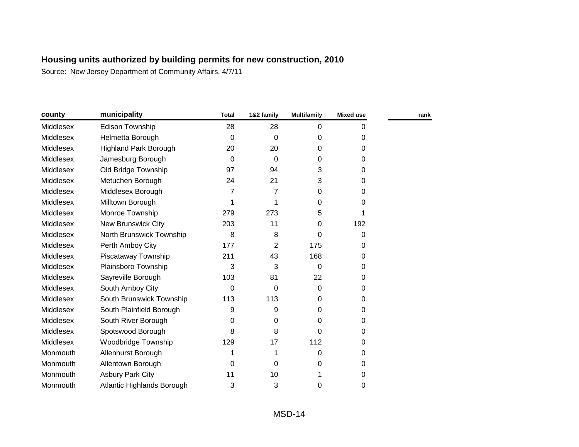| county           | municipality                 | <b>Total</b> | 1&2 family     | <b>Multifamily</b> | <b>Mixed use</b> | rank |
|------------------|------------------------------|--------------|----------------|--------------------|------------------|------|
| Middlesex        | <b>Edison Township</b>       | 28           | 28             | 0                  | 0                |      |
| Middlesex        | Helmetta Borough             | $\Omega$     | $\Omega$       | 0                  | 0                |      |
| Middlesex        | <b>Highland Park Borough</b> | 20           | 20             | 0                  | 0                |      |
| <b>Middlesex</b> | Jamesburg Borough            | $\Omega$     | 0              | 0                  | $\Omega$         |      |
| Middlesex        | Old Bridge Township          | 97           | 94             | 3                  | $\mathbf 0$      |      |
| Middlesex        | Metuchen Borough             | 24           | 21             | 3                  | 0                |      |
| Middlesex        | Middlesex Borough            | 7            | 7              | 0                  | 0                |      |
| Middlesex        | Milltown Borough             | 1            | 1              | 0                  | 0                |      |
| Middlesex        | Monroe Township              | 279          | 273            | 5                  |                  |      |
| Middlesex        | <b>New Brunswick City</b>    | 203          | 11             | 0                  | 192              |      |
| Middlesex        | North Brunswick Township     | 8            | 8              | 0                  | 0                |      |
| Middlesex        | Perth Amboy City             | 177          | $\overline{2}$ | 175                | 0                |      |
| Middlesex        | Piscataway Township          | 211          | 43             | 168                | 0                |      |
| Middlesex        | Plainsboro Township          | 3            | 3              | 0                  | $\Omega$         |      |
| Middlesex        | Sayreville Borough           | 103          | 81             | 22                 | 0                |      |
| Middlesex        | South Amboy City             | 0            | 0              | 0                  | 0                |      |
| Middlesex        | South Brunswick Township     | 113          | 113            | 0                  | 0                |      |
| Middlesex        | South Plainfield Borough     | 9            | 9              | 0                  | 0                |      |
| Middlesex        | South River Borough          | 0            | 0              | 0                  | $\Omega$         |      |
| Middlesex        | Spotswood Borough            | 8            | 8              | 0                  | 0                |      |
| Middlesex        | Woodbridge Township          | 129          | 17             | 112                | 0                |      |
| Monmouth         | Allenhurst Borough           |              | 1              | 0                  | 0                |      |
| Monmouth         | Allentown Borough            | 0            | 0              | 0                  | 0                |      |
| Monmouth         | <b>Asbury Park City</b>      | 11           | 10             |                    | 0                |      |
| Monmouth         | Atlantic Highlands Borough   | 3            | 3              | 0                  | 0                |      |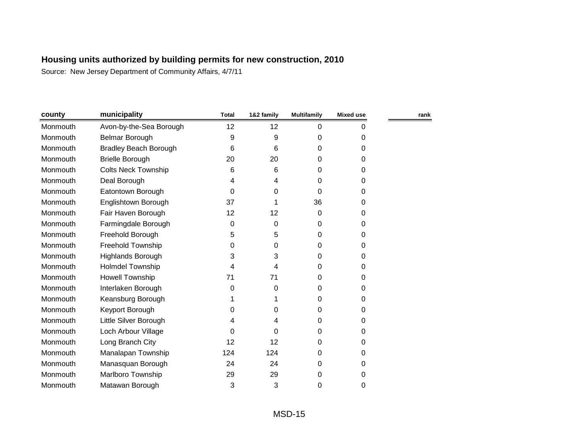| county   | municipality                 | <b>Total</b> | 1&2 family | <b>Multifamily</b> | Mixed use | rank |
|----------|------------------------------|--------------|------------|--------------------|-----------|------|
| Monmouth | Avon-by-the-Sea Borough      | 12           | 12         | 0                  | 0         |      |
| Monmouth | <b>Belmar Borough</b>        | 9            | 9          | 0                  | 0         |      |
| Monmouth | <b>Bradley Beach Borough</b> | 6            | 6          | 0                  | 0         |      |
| Monmouth | <b>Brielle Borough</b>       | 20           | 20         | 0                  | 0         |      |
| Monmouth | <b>Colts Neck Township</b>   | 6            | 6          | 0                  | 0         |      |
| Monmouth | Deal Borough                 | 4            | 4          | 0                  | 0         |      |
| Monmouth | Eatontown Borough            | 0            | 0          | 0                  | 0         |      |
| Monmouth | Englishtown Borough          | 37           |            | 36                 | 0         |      |
| Monmouth | Fair Haven Borough           | 12           | 12         | 0                  | 0         |      |
| Monmouth | Farmingdale Borough          | 0            | 0          | 0                  | 0         |      |
| Monmouth | Freehold Borough             | 5            | 5          | 0                  | 0         |      |
| Monmouth | Freehold Township            | 0            | 0          | 0                  | 0         |      |
| Monmouth | Highlands Borough            | 3            | 3          | 0                  | 0         |      |
| Monmouth | <b>Holmdel Township</b>      | 4            | 4          | 0                  | 0         |      |
| Monmouth | <b>Howell Township</b>       | 71           | 71         | 0                  | 0         |      |
| Monmouth | Interlaken Borough           | 0            | 0          | 0                  | 0         |      |
| Monmouth | Keansburg Borough            |              |            | 0                  | 0         |      |
| Monmouth | Keyport Borough              | 0            | 0          | 0                  | 0         |      |
| Monmouth | Little Silver Borough        | 4            | 4          | 0                  | 0         |      |
| Monmouth | Loch Arbour Village          | 0            | 0          | 0                  | 0         |      |
| Monmouth | Long Branch City             | 12           | 12         | 0                  | 0         |      |
| Monmouth | Manalapan Township           | 124          | 124        | 0                  | 0         |      |
| Monmouth | Manasquan Borough            | 24           | 24         | 0                  | 0         |      |
| Monmouth | Marlboro Township            | 29           | 29         | 0                  | 0         |      |
| Monmouth | Matawan Borough              | 3            | 3          | 0                  | 0         |      |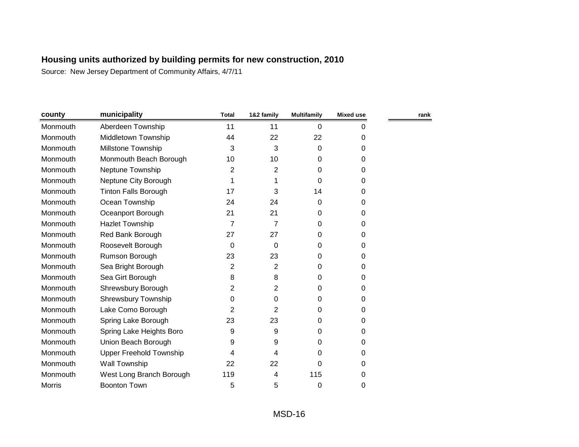| county        | municipality                   | <b>Total</b>   | 1&2 family     | <b>Multifamily</b> | <b>Mixed use</b> | rank |
|---------------|--------------------------------|----------------|----------------|--------------------|------------------|------|
| Monmouth      | Aberdeen Township              | 11             | 11             | 0                  | 0                |      |
| Monmouth      | Middletown Township            | 44             | 22             | 22                 | 0                |      |
| Monmouth      | Millstone Township             | 3              | 3              | 0                  | 0                |      |
| Monmouth      | Monmouth Beach Borough         | 10             | 10             | 0                  | 0                |      |
| Monmouth      | Neptune Township               | 2              | 2              | 0                  | 0                |      |
| Monmouth      | Neptune City Borough           |                | 1              | 0                  | 0                |      |
| Monmouth      | <b>Tinton Falls Borough</b>    | 17             | 3              | 14                 | 0                |      |
| Monmouth      | Ocean Township                 | 24             | 24             | 0                  | 0                |      |
| Monmouth      | Oceanport Borough              | 21             | 21             | 0                  | 0                |      |
| Monmouth      | <b>Hazlet Township</b>         | $\overline{7}$ | 7              | 0                  | 0                |      |
| Monmouth      | Red Bank Borough               | 27             | 27             | 0                  | 0                |      |
| Monmouth      | Roosevelt Borough              | 0              | 0              | 0                  | 0                |      |
| Monmouth      | Rumson Borough                 | 23             | 23             | 0                  | 0                |      |
| Monmouth      | Sea Bright Borough             | $\overline{2}$ | $\overline{2}$ | 0                  | 0                |      |
| Monmouth      | Sea Girt Borough               | 8              | 8              | 0                  | 0                |      |
| Monmouth      | Shrewsbury Borough             | 2              | 2              | 0                  | 0                |      |
| Monmouth      | <b>Shrewsbury Township</b>     | 0              | 0              | 0                  | 0                |      |
| Monmouth      | Lake Como Borough              | 2              | 2              | 0                  | 0                |      |
| Monmouth      | Spring Lake Borough            | 23             | 23             | 0                  | 0                |      |
| Monmouth      | Spring Lake Heights Boro       | 9              | 9              | 0                  | 0                |      |
| Monmouth      | Union Beach Borough            | 9              | 9              | 0                  | 0                |      |
| Monmouth      | <b>Upper Freehold Township</b> | 4              | 4              | 0                  | 0                |      |
| Monmouth      | Wall Township                  | 22             | 22             | 0                  | 0                |      |
| Monmouth      | West Long Branch Borough       | 119            | 4              | 115                | 0                |      |
| <b>Morris</b> | <b>Boonton Town</b>            | 5              | 5              | 0                  | 0                |      |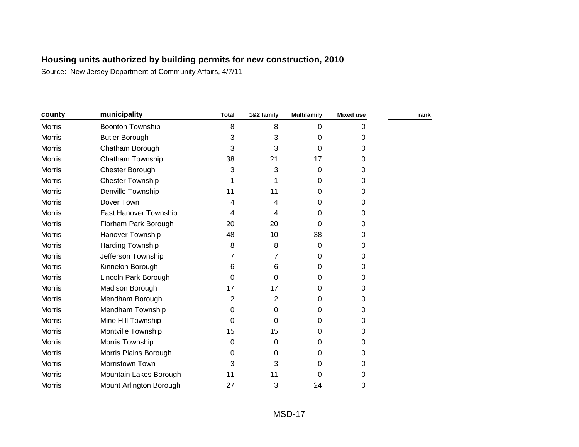| county        | municipality            | <b>Total</b> | 1&2 family | <b>Multifamily</b> | <b>Mixed use</b> | rank |
|---------------|-------------------------|--------------|------------|--------------------|------------------|------|
| Morris        | <b>Boonton Township</b> | 8            | 8          | 0                  | 0                |      |
| <b>Morris</b> | <b>Butler Borough</b>   | 3            | 3          | 0                  | 0                |      |
| Morris        | Chatham Borough         | 3            | 3          | 0                  | $\Omega$         |      |
| <b>Morris</b> | Chatham Township        | 38           | 21         | 17                 | $\Omega$         |      |
| Morris        | Chester Borough         | 3            | 3          | 0                  | 0                |      |
| Morris        | <b>Chester Township</b> | 1            |            | 0                  | 0                |      |
| Morris        | Denville Township       | 11           | 11         | 0                  | 0                |      |
| Morris        | Dover Town              | 4            | 4          | 0                  | 0                |      |
| <b>Morris</b> | East Hanover Township   | 4            | 4          | 0                  | 0                |      |
| Morris        | Florham Park Borough    | 20           | 20         | 0                  | $\Omega$         |      |
| <b>Morris</b> | Hanover Township        | 48           | 10         | 38                 | 0                |      |
| Morris        | Harding Township        | 8            | 8          | 0                  | 0                |      |
| Morris        | Jefferson Township      | 7            | 7          | 0                  | 0                |      |
| Morris        | Kinnelon Borough        | 6            | 6          | 0                  | 0                |      |
| <b>Morris</b> | Lincoln Park Borough    | 0            | 0          | 0                  | 0                |      |
| <b>Morris</b> | Madison Borough         | 17           | 17         | 0                  | 0                |      |
| Morris        | Mendham Borough         | 2            | 2          | 0                  | $\Omega$         |      |
| Morris        | Mendham Township        | 0            | 0          | 0                  | 0                |      |
| Morris        | Mine Hill Township      | 0            | 0          | 0                  | 0                |      |
| Morris        | Montville Township      | 15           | 15         | 0                  | 0                |      |
| <b>Morris</b> | Morris Township         | 0            | 0          | 0                  | 0                |      |
| <b>Morris</b> | Morris Plains Borough   | 0            | 0          | 0                  | 0                |      |
| <b>Morris</b> | Morristown Town         | 3            | 3          | 0                  | 0                |      |
| <b>Morris</b> | Mountain Lakes Borough  | 11           | 11         | 0                  | 0                |      |
| <b>Morris</b> | Mount Arlington Borough | 27           | 3          | 24                 | 0                |      |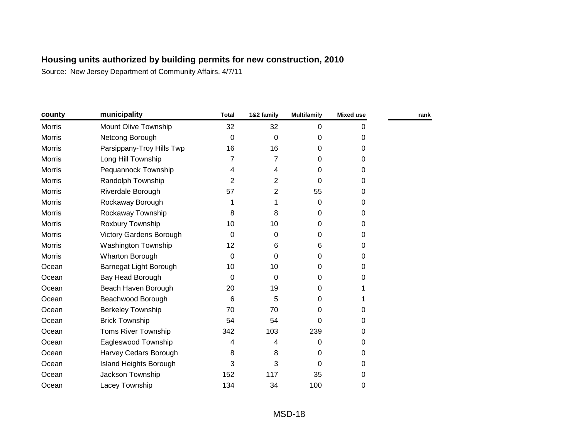| county        | municipality                   | <b>Total</b> | 1&2 family     | <b>Multifamily</b> | <b>Mixed use</b> | rank |
|---------------|--------------------------------|--------------|----------------|--------------------|------------------|------|
| <b>Morris</b> | Mount Olive Township           | 32           | 32             | $\mathbf 0$        | 0                |      |
| <b>Morris</b> | Netcong Borough                | 0            | 0              | 0                  | 0                |      |
| <b>Morris</b> | Parsippany-Troy Hills Twp      | 16           | 16             | 0                  | 0                |      |
| Morris        | Long Hill Township             | 7            | 7              | 0                  | 0                |      |
| <b>Morris</b> | Pequannock Township            | 4            | 4              | $\Omega$           | 0                |      |
| Morris        | Randolph Township              | 2            | $\overline{2}$ | 0                  | 0                |      |
| <b>Morris</b> | Riverdale Borough              | 57           | 2              | 55                 | 0                |      |
| <b>Morris</b> | Rockaway Borough               | 1            | 1              | 0                  | 0                |      |
| <b>Morris</b> | Rockaway Township              | 8            | 8              | 0                  | 0                |      |
| <b>Morris</b> | Roxbury Township               | 10           | 10             | 0                  | 0                |      |
| Morris        | <b>Victory Gardens Borough</b> | $\Omega$     | 0              | 0                  | 0                |      |
| <b>Morris</b> | Washington Township            | 12           | 6              | 6                  | 0                |      |
| Morris        | Wharton Borough                | $\Omega$     | 0              | 0                  | 0                |      |
| Ocean         | Barnegat Light Borough         | 10           | 10             | 0                  | 0                |      |
| Ocean         | Bay Head Borough               | $\Omega$     | 0              | 0                  | 0                |      |
| Ocean         | Beach Haven Borough            | 20           | 19             | 0                  |                  |      |
| Ocean         | Beachwood Borough              | 6            | 5              | 0                  |                  |      |
| Ocean         | <b>Berkeley Township</b>       | 70           | 70             | 0                  | 0                |      |
| Ocean         | <b>Brick Township</b>          | 54           | 54             | 0                  | 0                |      |
| Ocean         | <b>Toms River Township</b>     | 342          | 103            | 239                | 0                |      |
| Ocean         | Eagleswood Township            | 4            | 4              | 0                  | 0                |      |
| Ocean         | Harvey Cedars Borough          | 8            | 8              | 0                  | 0                |      |
| Ocean         | Island Heights Borough         | 3            | 3              | $\Omega$           | 0                |      |
| Ocean         | Jackson Township               | 152          | 117            | 35                 | 0                |      |
| Ocean         | Lacey Township                 | 134          | 34             | 100                | 0                |      |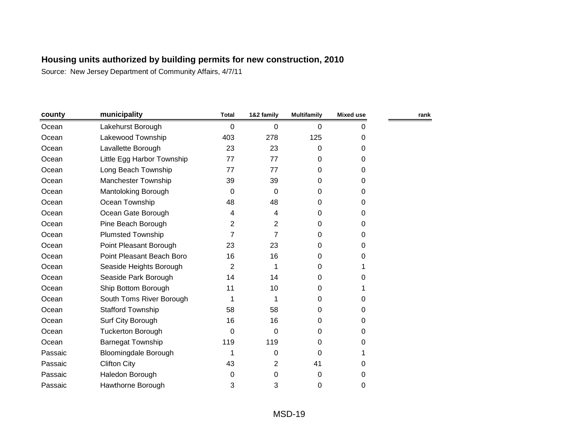| county  | municipality                | <b>Total</b> | 1&2 family     | <b>Multifamily</b> | Mixed use | rank |
|---------|-----------------------------|--------------|----------------|--------------------|-----------|------|
| Ocean   | Lakehurst Borough           | 0            | 0              | 0                  | 0         |      |
| Ocean   | Lakewood Township           | 403          | 278            | 125                | 0         |      |
| Ocean   | Lavallette Borough          | 23           | 23             | 0                  | 0         |      |
| Ocean   | Little Egg Harbor Township  | 77           | 77             | 0                  | 0         |      |
| Ocean   | Long Beach Township         | 77           | 77             | 0                  | 0         |      |
| Ocean   | <b>Manchester Township</b>  | 39           | 39             | 0                  | 0         |      |
| Ocean   | Mantoloking Borough         | 0            | 0              | 0                  | 0         |      |
| Ocean   | Ocean Township              | 48           | 48             | 0                  | 0         |      |
| Ocean   | Ocean Gate Borough          | 4            | 4              | 0                  | 0         |      |
| Ocean   | Pine Beach Borough          | 2            | 2              | 0                  | 0         |      |
| Ocean   | <b>Plumsted Township</b>    | 7            | $\overline{7}$ | $\Omega$           | 0         |      |
| Ocean   | Point Pleasant Borough      | 23           | 23             | 0                  | 0         |      |
| Ocean   | Point Pleasant Beach Boro   | 16           | 16             | 0                  | 0         |      |
| Ocean   | Seaside Heights Borough     | 2            |                | 0                  |           |      |
| Ocean   | Seaside Park Borough        | 14           | 14             | 0                  | 0         |      |
| Ocean   | Ship Bottom Borough         | 11           | 10             | 0                  |           |      |
| Ocean   | South Toms River Borough    | 1            | 1              | 0                  | 0         |      |
| Ocean   | <b>Stafford Township</b>    | 58           | 58             | 0                  | 0         |      |
| Ocean   | Surf City Borough           | 16           | 16             | 0                  | 0         |      |
| Ocean   | <b>Tuckerton Borough</b>    | $\Omega$     | 0              | 0                  | 0         |      |
| Ocean   | <b>Barnegat Township</b>    | 119          | 119            | 0                  | 0         |      |
| Passaic | <b>Bloomingdale Borough</b> | 1            | 0              | $\mathbf 0$        |           |      |
| Passaic | <b>Clifton City</b>         | 43           | 2              | 41                 | 0         |      |
| Passaic | Haledon Borough             | 0            | 0              | 0                  | 0         |      |
| Passaic | Hawthorne Borough           | 3            | 3              | 0                  | 0         |      |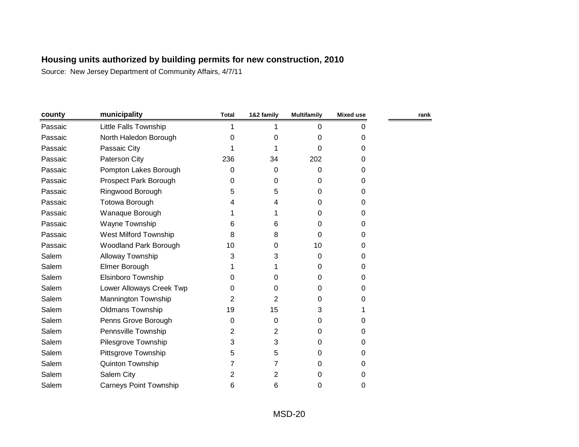| county  | municipality                  | <b>Total</b> | 1&2 family     | <b>Multifamily</b> | <b>Mixed use</b> | rank |
|---------|-------------------------------|--------------|----------------|--------------------|------------------|------|
| Passaic | <b>Little Falls Township</b>  | 1            |                | $\Omega$           | 0                |      |
| Passaic | North Haledon Borough         | 0            | 0              | 0                  | 0                |      |
| Passaic | Passaic City                  |              |                | 0                  | 0                |      |
| Passaic | Paterson City                 | 236          | 34             | 202                | $\Omega$         |      |
| Passaic | Pompton Lakes Borough         | 0            | 0              | 0                  | 0                |      |
| Passaic | Prospect Park Borough         | 0            | 0              | $\Omega$           | 0                |      |
| Passaic | Ringwood Borough              | 5            | 5              | $\Omega$           | 0                |      |
| Passaic | Totowa Borough                | 4            | 4              | $\Omega$           | 0                |      |
| Passaic | Wanaque Borough               |              |                | $\Omega$           | 0                |      |
| Passaic | Wayne Township                | 6            | 6              | 0                  | 0                |      |
| Passaic | West Milford Township         | 8            | 8              | $\Omega$           | $\Omega$         |      |
| Passaic | <b>Woodland Park Borough</b>  | 10           | 0              | 10                 | $\Omega$         |      |
| Salem   | Alloway Township              | 3            | 3              | 0                  | 0                |      |
| Salem   | Elmer Borough                 |              |                | $\Omega$           | 0                |      |
| Salem   | Elsinboro Township            | 0            | 0              | $\Omega$           | 0                |      |
| Salem   | Lower Alloways Creek Twp      | 0            | 0              | $\Omega$           | 0                |      |
| Salem   | Mannington Township           | 2            | 2              | $\Omega$           | 0                |      |
| Salem   | <b>Oldmans Township</b>       | 19           | 15             | 3                  |                  |      |
| Salem   | Penns Grove Borough           | 0            | 0              | 0                  | 0                |      |
| Salem   | Pennsville Township           | 2            | $\overline{2}$ | $\Omega$           | $\Omega$         |      |
| Salem   | Pilesgrove Township           | 3            | 3              | 0                  | 0                |      |
| Salem   | Pittsgrove Township           | 5            | 5              | $\Omega$           | 0                |      |
| Salem   | Quinton Township              |              | 7              | $\Omega$           | $\Omega$         |      |
| Salem   | Salem City                    | 2            | 2              | 0                  | 0                |      |
| Salem   | <b>Carneys Point Township</b> | 6            | 6              | 0                  | 0                |      |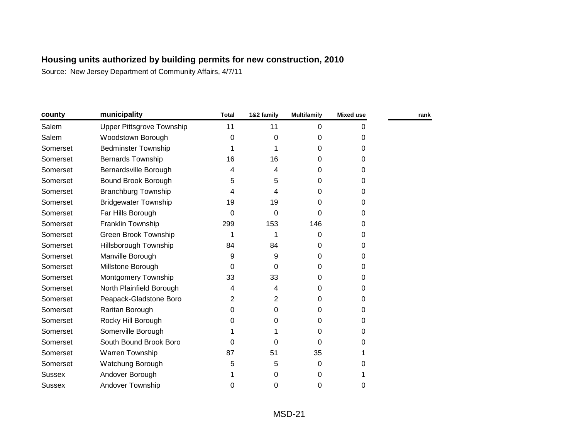| county        | municipality                     | <b>Total</b> | 1&2 family | <b>Multifamily</b> | Mixed use | rank |
|---------------|----------------------------------|--------------|------------|--------------------|-----------|------|
| Salem         | <b>Upper Pittsgrove Township</b> | 11           | 11         | 0                  | 0         |      |
| Salem         | Woodstown Borough                | $\Omega$     | 0          | 0                  | 0         |      |
| Somerset      | <b>Bedminster Township</b>       |              |            | 0                  | 0         |      |
| Somerset      | <b>Bernards Township</b>         | 16           | 16         | 0                  | 0         |      |
| Somerset      | Bernardsville Borough            | 4            | 4          | 0                  | 0         |      |
| Somerset      | Bound Brook Borough              | 5            | 5          | 0                  | 0         |      |
| Somerset      | <b>Branchburg Township</b>       | 4            | 4          | 0                  | 0         |      |
| Somerset      | <b>Bridgewater Township</b>      | 19           | 19         | 0                  | 0         |      |
| Somerset      | Far Hills Borough                | 0            | 0          | 0                  | 0         |      |
| Somerset      | Franklin Township                | 299          | 153        | 146                | 0         |      |
| Somerset      | Green Brook Township             | 1            |            | 0                  | 0         |      |
| Somerset      | Hillsborough Township            | 84           | 84         | 0                  | 0         |      |
| Somerset      | Manville Borough                 | 9            | 9          | 0                  | 0         |      |
| Somerset      | Millstone Borough                | 0            | 0          | 0                  | 0         |      |
| Somerset      | Montgomery Township              | 33           | 33         | 0                  | 0         |      |
| Somerset      | North Plainfield Borough         | 4            | 4          | 0                  | 0         |      |
| Somerset      | Peapack-Gladstone Boro           | 2            | 2          | 0                  | 0         |      |
| Somerset      | Raritan Borough                  | 0            | 0          | 0                  | 0         |      |
| Somerset      | Rocky Hill Borough               | 0            | 0          | 0                  | 0         |      |
| Somerset      | Somerville Borough               |              |            | 0                  | 0         |      |
| Somerset      | South Bound Brook Boro           | 0            | $\Omega$   | 0                  | 0         |      |
| Somerset      | Warren Township                  | 87           | 51         | 35                 |           |      |
| Somerset      | Watchung Borough                 | 5            | 5          | 0                  | 0         |      |
| <b>Sussex</b> | Andover Borough                  |              | 0          | 0                  |           |      |
| <b>Sussex</b> | <b>Andover Township</b>          | 0            | 0          | 0                  | 0         |      |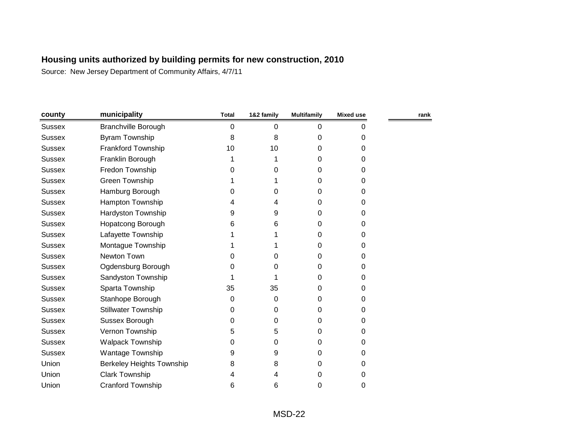| county        | municipality               | <b>Total</b> | 1&2 family | <b>Multifamily</b> | <b>Mixed use</b> | rank |
|---------------|----------------------------|--------------|------------|--------------------|------------------|------|
| <b>Sussex</b> | Branchville Borough        | 0            | 0          | 0                  | 0                |      |
| <b>Sussex</b> | Byram Township             | 8            | 8          | 0                  | 0                |      |
| <b>Sussex</b> | Frankford Township         | 10           | 10         | 0                  | 0                |      |
| <b>Sussex</b> | Franklin Borough           |              |            | 0                  | 0                |      |
| <b>Sussex</b> | Fredon Township            | 0            | 0          | 0                  | 0                |      |
| <b>Sussex</b> | Green Township             |              |            | 0                  | 0                |      |
| <b>Sussex</b> | Hamburg Borough            | 0            | 0          | 0                  | 0                |      |
| <b>Sussex</b> | Hampton Township           | 4            | 4          | 0                  | 0                |      |
| <b>Sussex</b> | Hardyston Township         | 9            | 9          | 0                  | 0                |      |
| <b>Sussex</b> | <b>Hopatcong Borough</b>   | 6            | 6          | 0                  | 0                |      |
| <b>Sussex</b> | Lafayette Township         |              |            | 0                  | 0                |      |
| <b>Sussex</b> | Montague Township          |              |            | 0                  | 0                |      |
| <b>Sussex</b> | Newton Town                | 0            | 0          | 0                  | 0                |      |
| <b>Sussex</b> | Ogdensburg Borough         | 0            | O          | 0                  | 0                |      |
| <b>Sussex</b> | Sandyston Township         |              |            | 0                  | 0                |      |
| <b>Sussex</b> | Sparta Township            | 35           | 35         | 0                  | 0                |      |
| <b>Sussex</b> | Stanhope Borough           | 0            | 0          | 0                  | 0                |      |
| <b>Sussex</b> | <b>Stillwater Township</b> | 0            | 0          | 0                  | 0                |      |
| <b>Sussex</b> | Sussex Borough             | 0            | 0          | 0                  | 0                |      |
| <b>Sussex</b> | Vernon Township            | 5            | 5          | 0                  | 0                |      |
| <b>Sussex</b> | <b>Walpack Township</b>    | 0            | 0          | 0                  | 0                |      |
| <b>Sussex</b> | Wantage Township           | 9            | 9          | 0                  | 0                |      |
| Union         | Berkeley Heights Township  | 8            | 8          | 0                  | 0                |      |
| Union         | <b>Clark Township</b>      |              | 4          | 0                  | 0                |      |
| Union         | <b>Cranford Township</b>   | 6            | 6          | 0                  | 0                |      |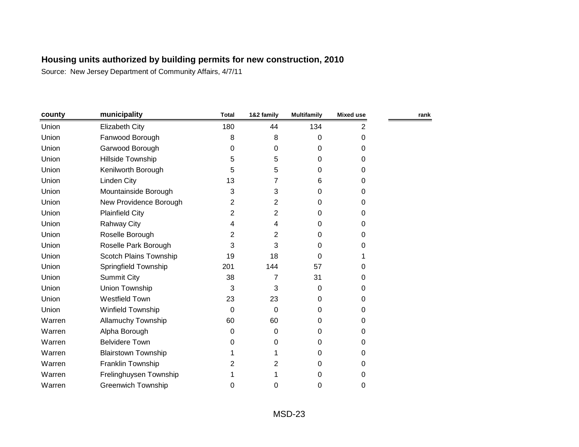| county | municipality               | <b>Total</b> | 1&2 family | <b>Multifamily</b> | <b>Mixed use</b> | rank |
|--------|----------------------------|--------------|------------|--------------------|------------------|------|
| Union  | <b>Elizabeth City</b>      | 180          | 44         | 134                | 2                |      |
| Union  | Fanwood Borough            | 8            | 8          | 0                  | 0                |      |
| Union  | Garwood Borough            | 0            | 0          | 0                  | $\Omega$         |      |
| Union  | Hillside Township          | 5            | 5          | 0                  | $\Omega$         |      |
| Union  | Kenilworth Borough         | 5            | 5          | 0                  | 0                |      |
| Union  | Linden City                | 13           | 7          | 6                  | 0                |      |
| Union  | Mountainside Borough       | 3            | 3          | 0                  | 0                |      |
| Union  | New Providence Borough     | 2            | 2          | 0                  | 0                |      |
| Union  | <b>Plainfield City</b>     | 2            | 2          | 0                  | 0                |      |
| Union  | Rahway City                | 4            | 4          | 0                  | 0                |      |
| Union  | Roselle Borough            | 2            | 2          | 0                  | 0                |      |
| Union  | Roselle Park Borough       | 3            | 3          | 0                  | 0                |      |
| Union  | Scotch Plains Township     | 19           | 18         | 0                  |                  |      |
| Union  | Springfield Township       | 201          | 144        | 57                 | 0                |      |
| Union  | <b>Summit City</b>         | 38           | 7          | 31                 | 0                |      |
| Union  | Union Township             | 3            | 3          | 0                  | 0                |      |
| Union  | <b>Westfield Town</b>      | 23           | 23         | 0                  | 0                |      |
| Union  | Winfield Township          | $\Omega$     | $\Omega$   | 0                  | 0                |      |
| Warren | <b>Allamuchy Township</b>  | 60           | 60         | 0                  | 0                |      |
| Warren | Alpha Borough              | 0            | 0          | 0                  | $\Omega$         |      |
| Warren | <b>Belvidere Town</b>      | 0            | 0          | 0                  | 0                |      |
| Warren | <b>Blairstown Township</b> |              |            | 0                  | $\Omega$         |      |
| Warren | Franklin Township          | 2            | 2          | 0                  | 0                |      |
| Warren | Frelinghuysen Township     |              |            | 0                  | 0                |      |
| Warren | <b>Greenwich Township</b>  | 0            | 0          | 0                  | 0                |      |